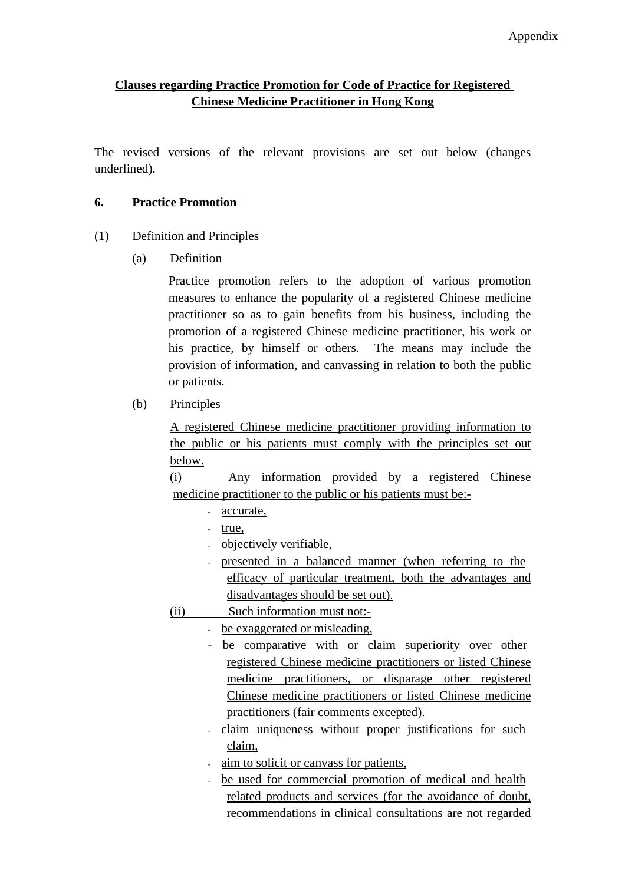## **Clauses regarding Practice Promotion for Code of Practice for Registered Chinese Medicine Practitioner in Hong Kong**

The revised versions of the relevant provisions are set out below (changes underlined).

#### **6. Practice Promotion**

- (1) Definition and Principles
	- (a) Definition

Practice promotion refers to the adoption of various promotion measures to enhance the popularity of a registered Chinese medicine practitioner so as to gain benefits from his business, including the promotion of a registered Chinese medicine practitioner, his work or his practice, by himself or others. The means may include the provision of information, and canvassing in relation to both the public or patients.

(b) Principles

A registered Chinese medicine practitioner providing information to the public or his patients must comply with the principles set out below.

(i) Any information provided by a registered Chinese medicine practitioner to the public or his patients must be:-

- accurate,
- true,
- objectively verifiable,
- presented in a balanced manner (when referring to the efficacy of particular treatment, both the advantages and disadvantages should be set out).
- (ii) Such information must not:-
	- be exaggerated or misleading,
	- be comparative with or claim superiority over other registered Chinese medicine practitioners or listed Chinese medicine practitioners, or disparage other registered Chinese medicine practitioners or listed Chinese medicine practitioners (fair comments excepted).
	- claim uniqueness without proper justifications for such claim,
	- aim to solicit or canvass for patients,
	- be used for commercial promotion of medical and health related products and services (for the avoidance of doubt, recommendations in clinical consultations are not regarded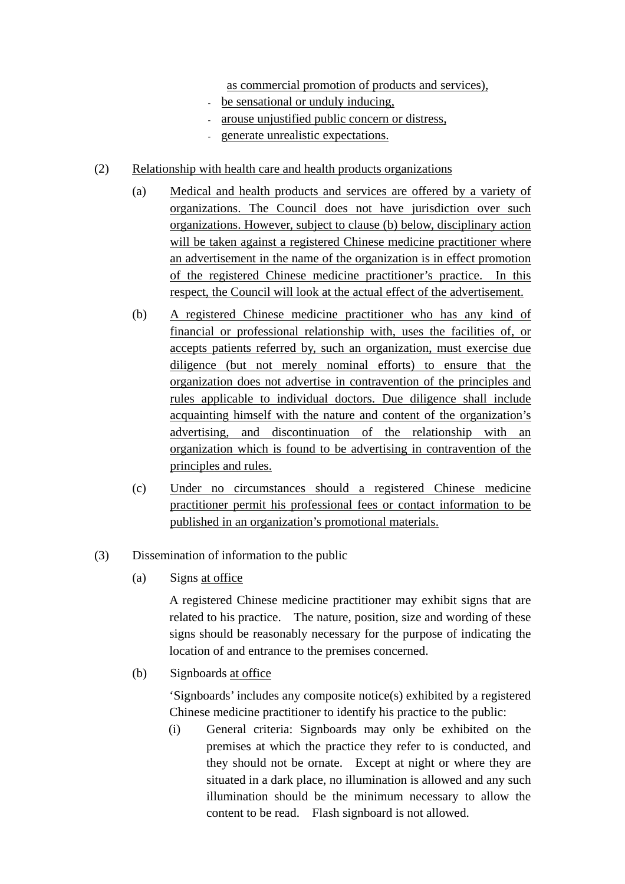as commercial promotion of products and services),

- be sensational or unduly inducing,
- arouse unjustified public concern or distress,
- generate unrealistic expectations.
- (2) Relationship with health care and health products organizations
	- (a) Medical and health products and services are offered by a variety of organizations. The Council does not have jurisdiction over such organizations. However, subject to clause (b) below, disciplinary action will be taken against a registered Chinese medicine practitioner where an advertisement in the name of the organization is in effect promotion of the registered Chinese medicine practitioner's practice. In this respect, the Council will look at the actual effect of the advertisement.
	- (b) A registered Chinese medicine practitioner who has any kind of financial or professional relationship with, uses the facilities of, or accepts patients referred by, such an organization, must exercise due diligence (but not merely nominal efforts) to ensure that the organization does not advertise in contravention of the principles and rules applicable to individual doctors. Due diligence shall include acquainting himself with the nature and content of the organization's advertising, and discontinuation of the relationship with an organization which is found to be advertising in contravention of the principles and rules.
	- (c) Under no circumstances should a registered Chinese medicine practitioner permit his professional fees or contact information to be published in an organization's promotional materials.
- (3) Dissemination of information to the public
	- (a) Signs at office

A registered Chinese medicine practitioner may exhibit signs that are related to his practice. The nature, position, size and wording of these signs should be reasonably necessary for the purpose of indicating the location of and entrance to the premises concerned.

(b) Signboards at office

'Signboards' includes any composite notice(s) exhibited by a registered Chinese medicine practitioner to identify his practice to the public:

(i) General criteria: Signboards may only be exhibited on the premises at which the practice they refer to is conducted, and they should not be ornate. Except at night or where they are situated in a dark place, no illumination is allowed and any such illumination should be the minimum necessary to allow the content to be read. Flash signboard is not allowed.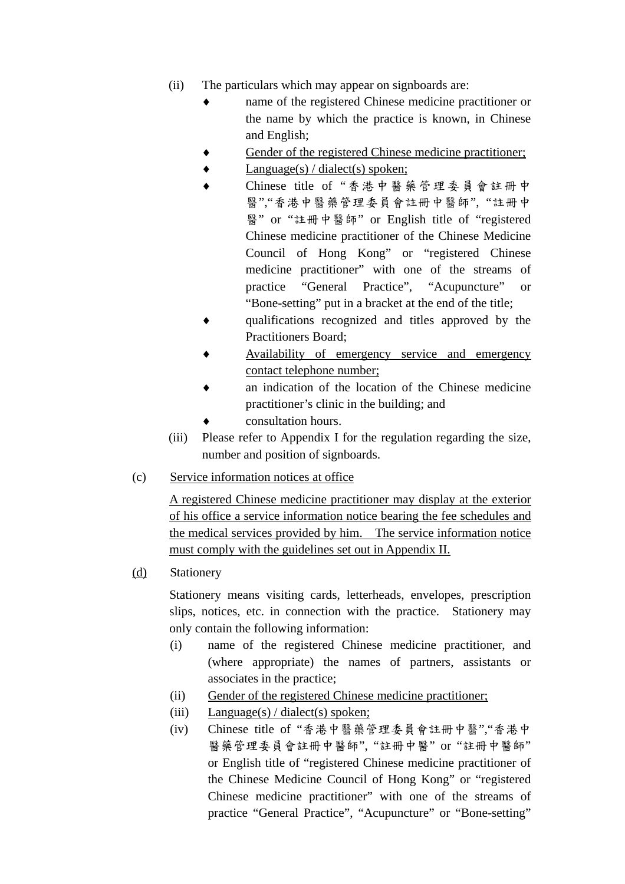- (ii) The particulars which may appear on signboards are:
	- name of the registered Chinese medicine practitioner or the name by which the practice is known, in Chinese and English;
	- Gender of the registered Chinese medicine practitioner;
	- $Language(s) / dialect(s) spoken;$
	- ♦ Chinese title of "香港中醫藥管理委員會註冊中 醫","香港中醫藥管理委員會註冊中醫師", "註冊中 醫" or "註冊中醫師" or English title of "registered Chinese medicine practitioner of the Chinese Medicine Council of Hong Kong" or "registered Chinese medicine practitioner" with one of the streams of practice "General Practice", "Acupuncture" or "Bone-setting" put in a bracket at the end of the title;
	- qualifications recognized and titles approved by the Practitioners Board;
	- Availability of emergency service and emergency contact telephone number;
	- an indication of the location of the Chinese medicine practitioner's clinic in the building; and
	- consultation hours.
- (iii) Please refer to Appendix I for the regulation regarding the size, number and position of signboards.
- (c) Service information notices at office

A registered Chinese medicine practitioner may display at the exterior of his office a service information notice bearing the fee schedules and the medical services provided by him. The service information notice must comply with the guidelines set out in Appendix II.

### (d) Stationery

Stationery means visiting cards, letterheads, envelopes, prescription slips, notices, etc. in connection with the practice. Stationery may only contain the following information:

- (i) name of the registered Chinese medicine practitioner, and (where appropriate) the names of partners, assistants or associates in the practice;
- (ii) Gender of the registered Chinese medicine practitioner;
- (iii) Language(s) / dialect(s) spoken;
- (iv) Chinese title of "香港中醫藥管理委員會註冊中醫","香港中 醫藥管理委員會註冊中醫師", "註冊中醫" or "註冊中醫師" or English title of "registered Chinese medicine practitioner of the Chinese Medicine Council of Hong Kong" or "registered Chinese medicine practitioner" with one of the streams of practice "General Practice", "Acupuncture" or "Bone-setting"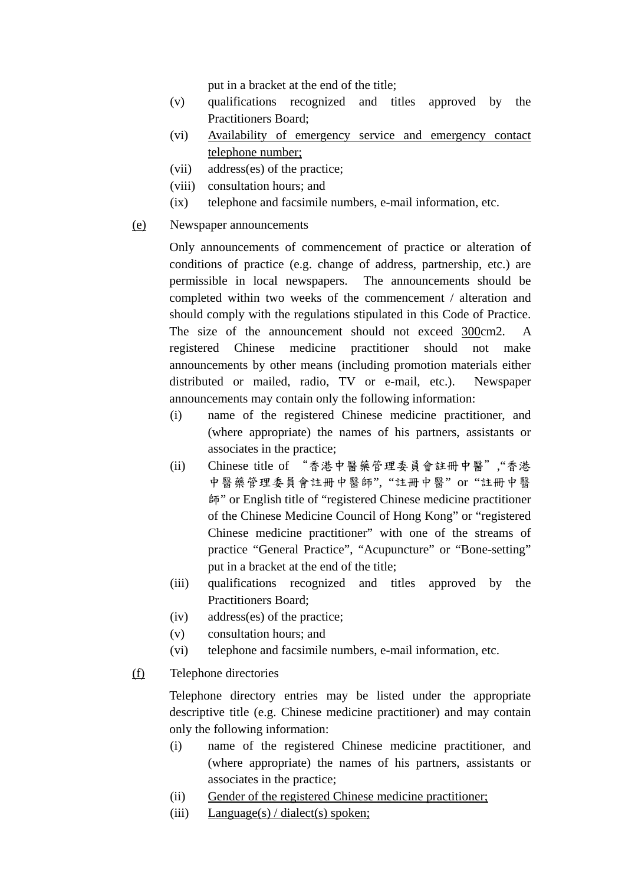put in a bracket at the end of the title;

- (v) qualifications recognized and titles approved by the Practitioners Board;
- (vi) Availability of emergency service and emergency contact telephone number;
- (vii) address(es) of the practice;
- (viii) consultation hours; and
- (ix) telephone and facsimile numbers, e-mail information, etc.
- (e) Newspaper announcements

Only announcements of commencement of practice or alteration of conditions of practice (e.g. change of address, partnership, etc.) are permissible in local newspapers. The announcements should be completed within two weeks of the commencement / alteration and should comply with the regulations stipulated in this Code of Practice. The size of the announcement should not exceed 300cm2. A registered Chinese medicine practitioner should not make announcements by other means (including promotion materials either distributed or mailed, radio, TV or e-mail, etc.). Newspaper announcements may contain only the following information:

- (i) name of the registered Chinese medicine practitioner, and (where appropriate) the names of his partners, assistants or associates in the practice;
- (ii) Chinese title of "香港中醫藥管理委員會註冊中醫","香港 中醫藥管理委員會註冊中醫師", "註冊中醫" or "註冊中醫 師" or English title of "registered Chinese medicine practitioner of the Chinese Medicine Council of Hong Kong" or "registered Chinese medicine practitioner" with one of the streams of practice "General Practice", "Acupuncture" or "Bone-setting" put in a bracket at the end of the title;
- (iii) qualifications recognized and titles approved by the Practitioners Board;
- (iv) address(es) of the practice;
- (v) consultation hours; and
- (vi) telephone and facsimile numbers, e-mail information, etc.
- (f) Telephone directories

Telephone directory entries may be listed under the appropriate descriptive title (e.g. Chinese medicine practitioner) and may contain only the following information:

- (i) name of the registered Chinese medicine practitioner, and (where appropriate) the names of his partners, assistants or associates in the practice;
- (ii) Gender of the registered Chinese medicine practitioner;
- (iii) Language(s) / dialect(s) spoken;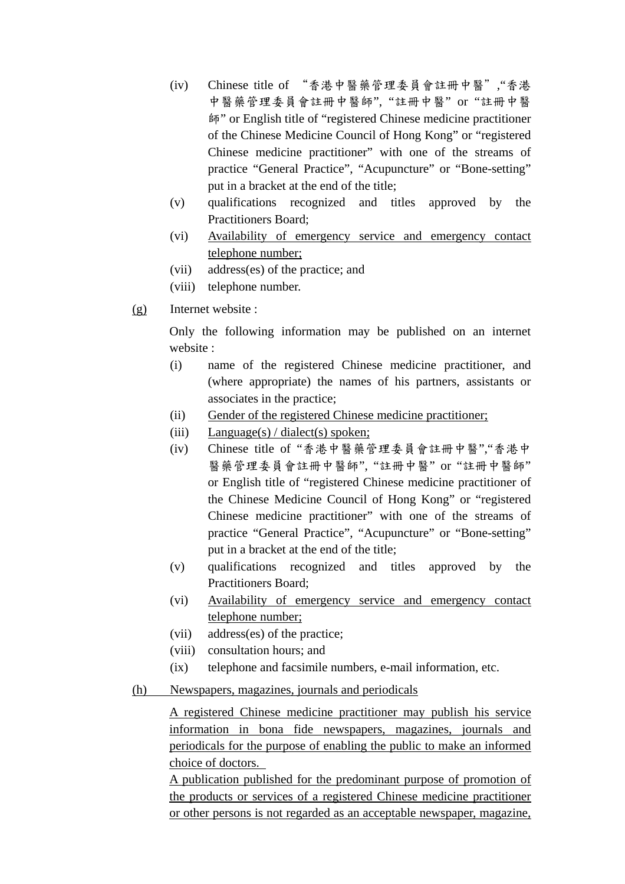- (iv) Chinese title of "香港中醫藥管理委員會註冊中醫","香港 中醫藥管理委員會註冊中醫師", "註冊中醫" or "註冊中醫 師" or English title of "registered Chinese medicine practitioner of the Chinese Medicine Council of Hong Kong" or "registered Chinese medicine practitioner" with one of the streams of practice "General Practice", "Acupuncture" or "Bone-setting" put in a bracket at the end of the title;
- (v) qualifications recognized and titles approved by the Practitioners Board;
- (vi) Availability of emergency service and emergency contact telephone number;
- (vii) address(es) of the practice; and
- (viii) telephone number.
- (g) Internet website :

Only the following information may be published on an internet website :

- (i) name of the registered Chinese medicine practitioner, and (where appropriate) the names of his partners, assistants or associates in the practice;
- (ii) Gender of the registered Chinese medicine practitioner;
- (iii) Language(s) / dialect(s) spoken;
- (iv) Chinese title of "香港中醫藥管理委員會註冊中醫","香港中 醫藥管理委員會註冊中醫師", "註冊中醫" or "註冊中醫師" or English title of "registered Chinese medicine practitioner of the Chinese Medicine Council of Hong Kong" or "registered Chinese medicine practitioner" with one of the streams of practice "General Practice", "Acupuncture" or "Bone-setting" put in a bracket at the end of the title;
- (v) qualifications recognized and titles approved by the Practitioners Board;
- (vi) Availability of emergency service and emergency contact telephone number;
- (vii) address(es) of the practice;
- (viii) consultation hours; and
- (ix) telephone and facsimile numbers, e-mail information, etc.
- (h) Newspapers, magazines, journals and periodicals

A registered Chinese medicine practitioner may publish his service information in bona fide newspapers, magazines, journals and periodicals for the purpose of enabling the public to make an informed choice of doctors.

A publication published for the predominant purpose of promotion of the products or services of a registered Chinese medicine practitioner or other persons is not regarded as an acceptable newspaper, magazine,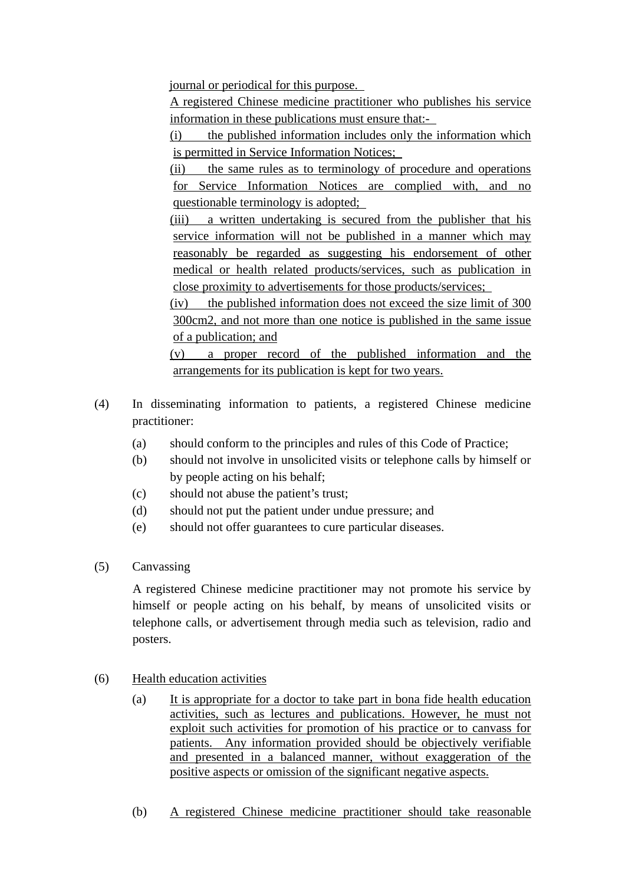journal or periodical for this purpose.

A registered Chinese medicine practitioner who publishes his service information in these publications must ensure that:-

(i) the published information includes only the information which is permitted in Service Information Notices;

(ii) the same rules as to terminology of procedure and operations for Service Information Notices are complied with, and no questionable terminology is adopted;

(iii) a written undertaking is secured from the publisher that his service information will not be published in a manner which may reasonably be regarded as suggesting his endorsement of other medical or health related products/services, such as publication in close proximity to advertisements for those products/services;

(iv) the published information does not exceed the size limit of 300 300cm2, and not more than one notice is published in the same issue of a publication; and

(v) a proper record of the published information and the arrangements for its publication is kept for two years.

- (4) In disseminating information to patients, a registered Chinese medicine practitioner:
	- (a) should conform to the principles and rules of this Code of Practice;
	- (b) should not involve in unsolicited visits or telephone calls by himself or by people acting on his behalf;
	- (c) should not abuse the patient's trust;
	- (d) should not put the patient under undue pressure; and
	- (e) should not offer guarantees to cure particular diseases.
- (5) Canvassing

A registered Chinese medicine practitioner may not promote his service by himself or people acting on his behalf, by means of unsolicited visits or telephone calls, or advertisement through media such as television, radio and posters.

- (6) Health education activities
	- (a) It is appropriate for a doctor to take part in bona fide health education activities, such as lectures and publications. However, he must not exploit such activities for promotion of his practice or to canvass for patients. Any information provided should be objectively verifiable and presented in a balanced manner, without exaggeration of the positive aspects or omission of the significant negative aspects.
	- (b) A registered Chinese medicine practitioner should take reasonable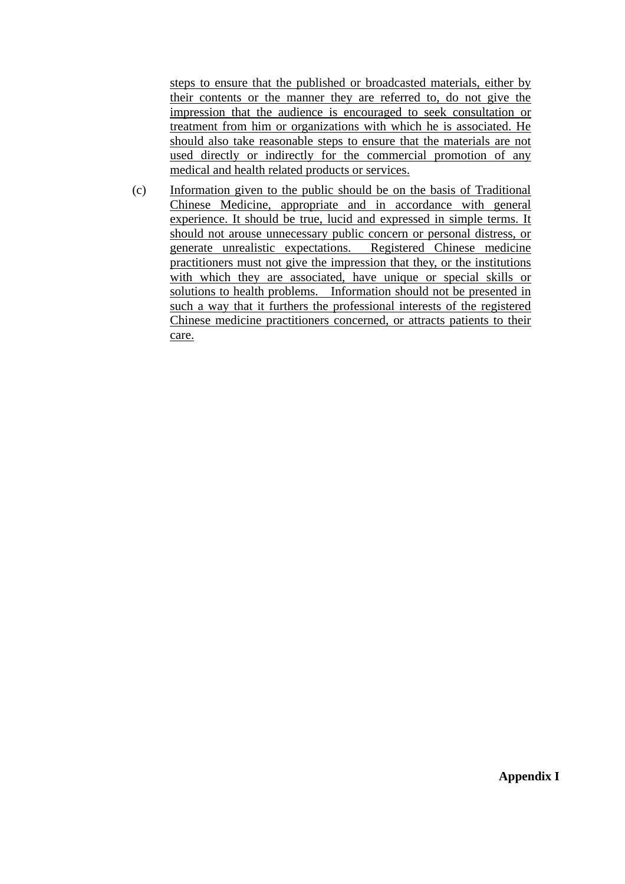steps to ensure that the published or broadcasted materials, either by their contents or the manner they are referred to, do not give the impression that the audience is encouraged to seek consultation or treatment from him or organizations with which he is associated. He should also take reasonable steps to ensure that the materials are not used directly or indirectly for the commercial promotion of any medical and health related products or services.

(c) Information given to the public should be on the basis of Traditional Chinese Medicine, appropriate and in accordance with general experience. It should be true, lucid and expressed in simple terms. It should not arouse unnecessary public concern or personal distress, or generate unrealistic expectations. Registered Chinese medicine practitioners must not give the impression that they, or the institutions with which they are associated, have unique or special skills or solutions to health problems. Information should not be presented in such a way that it furthers the professional interests of the registered Chinese medicine practitioners concerned, or attracts patients to their care.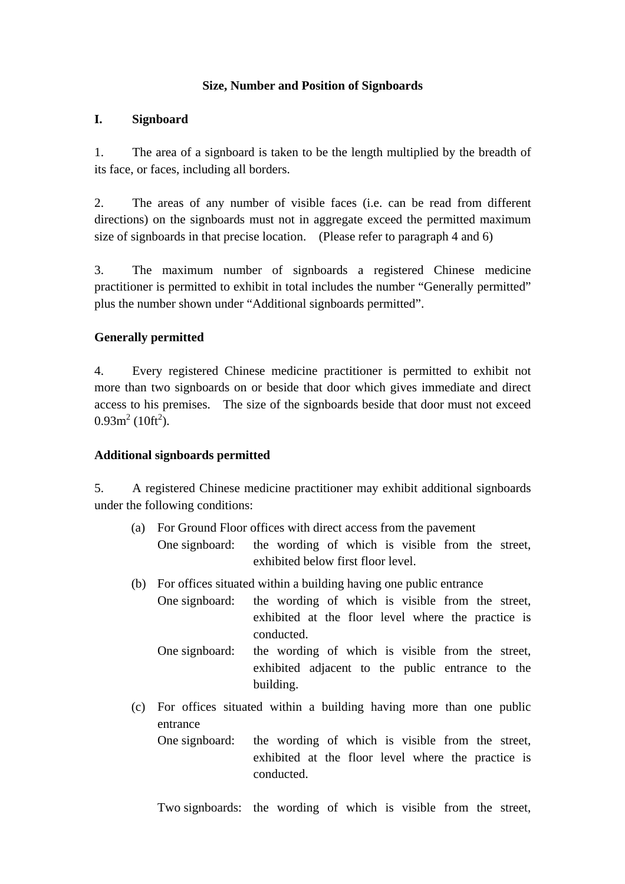#### **Size, Number and Position of Signboards**

#### **I. Signboard**

1. The area of a signboard is taken to be the length multiplied by the breadth of its face, or faces, including all borders.

2. The areas of any number of visible faces (i.e. can be read from different directions) on the signboards must not in aggregate exceed the permitted maximum size of signboards in that precise location. (Please refer to paragraph 4 and 6)

3. The maximum number of signboards a registered Chinese medicine practitioner is permitted to exhibit in total includes the number "Generally permitted" plus the number shown under "Additional signboards permitted".

### **Generally permitted**

4. Every registered Chinese medicine practitioner is permitted to exhibit not more than two signboards on or beside that door which gives immediate and direct access to his premises. The size of the signboards beside that door must not exceed  $0.93 \text{m}^2$  (10ft<sup>2</sup>).

### **Additional signboards permitted**

5. A registered Chinese medicine practitioner may exhibit additional signboards under the following conditions:

- (a) For Ground Floor offices with direct access from the pavement One signboard: the wording of which is visible from the street, exhibited below first floor level.
- (b) For offices situated within a building having one public entrance
	- One signboard: the wording of which is visible from the street, exhibited at the floor level where the practice is conducted.
		- One signboard: the wording of which is visible from the street, exhibited adjacent to the public entrance to the building.
- (c) For offices situated within a building having more than one public entrance One signboard: the wording of which is visible from the street,
	- exhibited at the floor level where the practice is conducted.
	- Two signboards: the wording of which is visible from the street,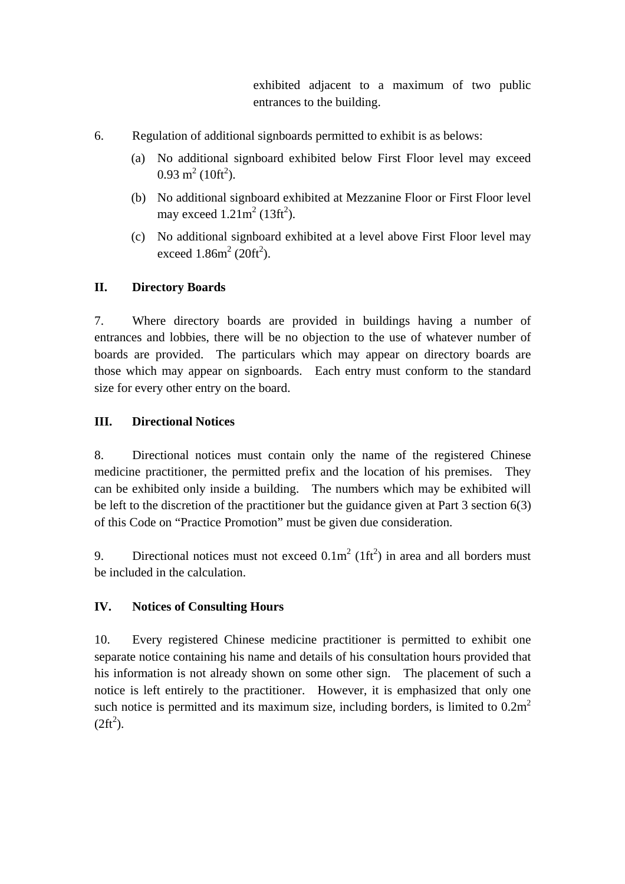exhibited adjacent to a maximum of two public entrances to the building.

- 6. Regulation of additional signboards permitted to exhibit is as belows:
	- (a) No additional signboard exhibited below First Floor level may exceed  $0.93 \text{ m}^2 (10 \text{ft}^2)$ .
	- (b) No additional signboard exhibited at Mezzanine Floor or First Floor level may exceed  $1.21m^2$  (13ft<sup>2</sup>).
	- (c) No additional signboard exhibited at a level above First Floor level may exceed  $1.86m^2(20ft^2)$ .

# **II. Directory Boards**

7. Where directory boards are provided in buildings having a number of entrances and lobbies, there will be no objection to the use of whatever number of boards are provided. The particulars which may appear on directory boards are those which may appear on signboards. Each entry must conform to the standard size for every other entry on the board.

# **III. Directional Notices**

8. Directional notices must contain only the name of the registered Chinese medicine practitioner, the permitted prefix and the location of his premises. They can be exhibited only inside a building. The numbers which may be exhibited will be left to the discretion of the practitioner but the guidance given at Part 3 section 6(3) of this Code on "Practice Promotion" must be given due consideration.

9. Directional notices must not exceed  $0.1 \text{m}^2 (1 \text{ft}^2)$  in area and all borders must be included in the calculation.

## **IV. Notices of Consulting Hours**

10. Every registered Chinese medicine practitioner is permitted to exhibit one separate notice containing his name and details of his consultation hours provided that his information is not already shown on some other sign. The placement of such a notice is left entirely to the practitioner. However, it is emphasized that only one such notice is permitted and its maximum size, including borders, is limited to  $0.2m<sup>2</sup>$  $(2ft^2)$ .